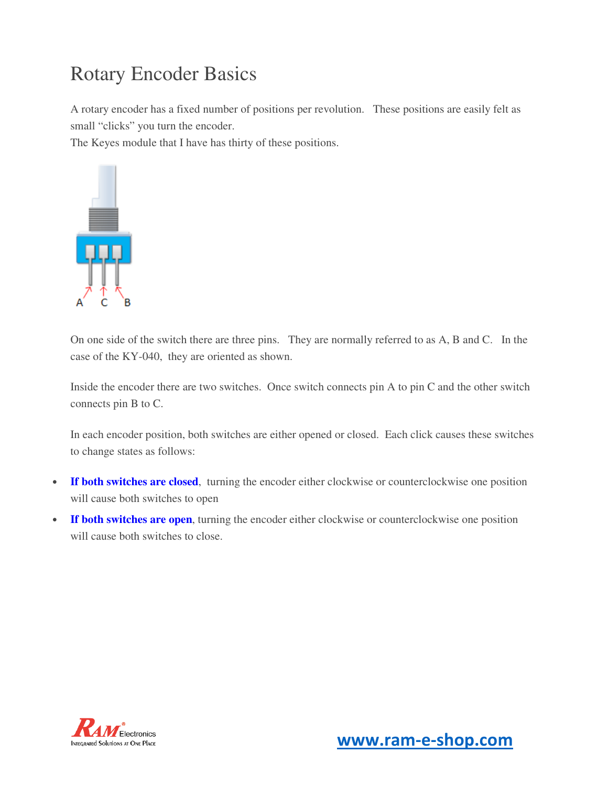# Rotary Encoder Basics

A rotary encoder has a fixed number of positions per revolution. These positions are easily felt as small "clicks" you turn the encoder.

The Keyes module that I have has thirty of these positions.



On one side of the switch there are three pins. They are normally referred to as A, B and C. In the case of the KY-040, they are oriented as shown.

Inside the encoder there are two switches. Once switch connects pin A to pin C and the other switch connects pin B to C.

In each encoder position, both switches are either opened or closed. Each click causes these switches to change states as follows:

- **If both switches are closed**, turning the encoder either clockwise or counterclockwise one position will cause both switches to open
- **If both switches are open**, turning the encoder either clockwise or counterclockwise one position will cause both switches to close.

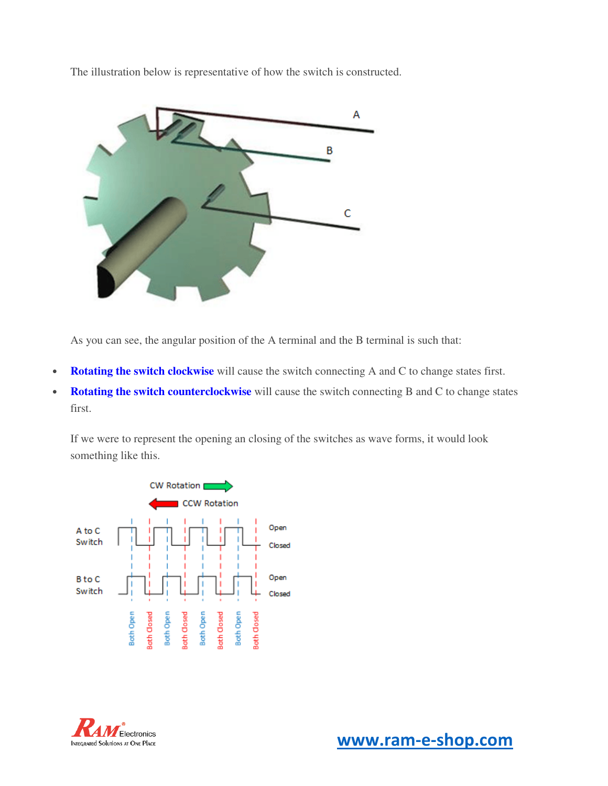The illustration below is representative of how the switch is constructed.



As you can see, the angular position of the A terminal and the B terminal is such that:

- **Rotating the switch clockwise** will cause the switch connecting A and C to change states first.
- **Rotating the switch counterclockwise** will cause the switch connecting B and C to change states first.

If we were to represent the opening an closing of the switches as wave forms, it would look something like this.



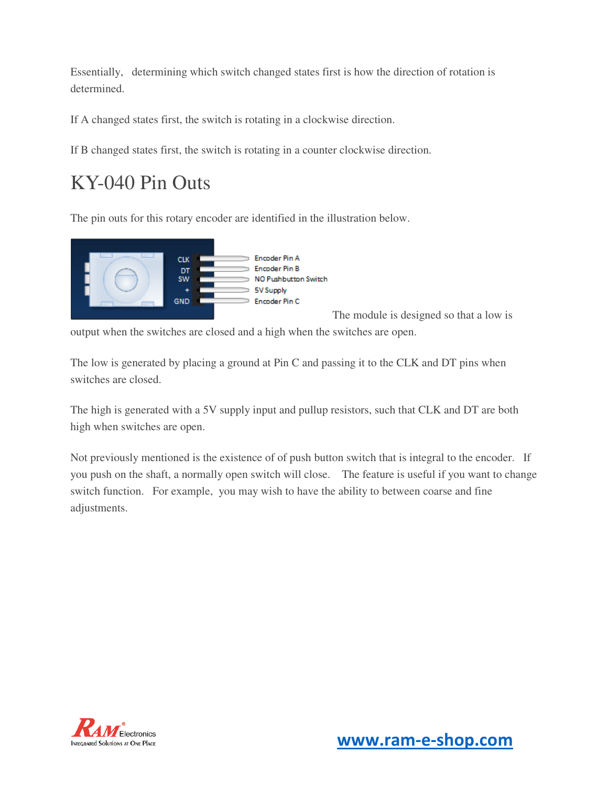Essentially, determining which switch changed states first is how the direction of rotation is determined.

If A changed states first, the switch is rotating in a clockwise direction.

If B changed states first, the switch is rotating in a counter clockwise direction.

# KY-040 Pin Outs

The pin outs for this rotary encoder are identified in the illustration below.



The module is designed so that a low is

output when the switches are closed and a high when the switches are open.

The low is generated by placing a ground at Pin C and passing it to the CLK and DT pins when switches are closed.

The high is generated with a 5V supply input and pullup resistors, such that CLK and DT are both high when switches are open.

Not previously mentioned is the existence of of push button switch that is integral to the encoder. If you push on the shaft, a normally open switch will close. The feature is useful if you want to change switch function. For example, you may wish to have the ability to between coarse and fine adjustments.

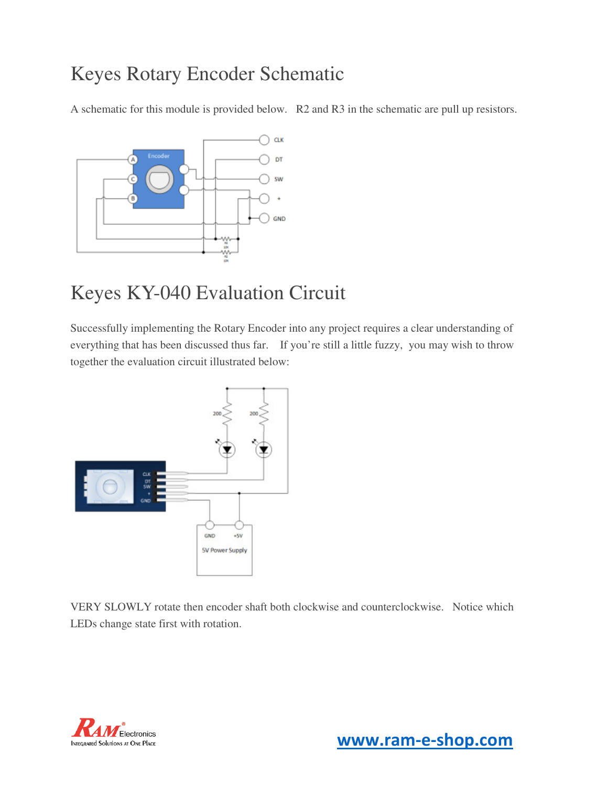#### Keyes Rotary Encoder Schematic

A schematic for this module is provided below. R2 and R3 in the schematic are pull up resistors.



# Keyes KY-040 Evaluation Circuit

Successfully implementing the Rotary Encoder into any project requires a clear understanding of everything that has been discussed thus far. If you're still a little fuzzy, you may wish to throw together the evaluation circuit illustrated below:



VERY SLOWLY rotate then encoder shaft both clockwise and counterclockwise. Notice which LEDs change state first with rotation.

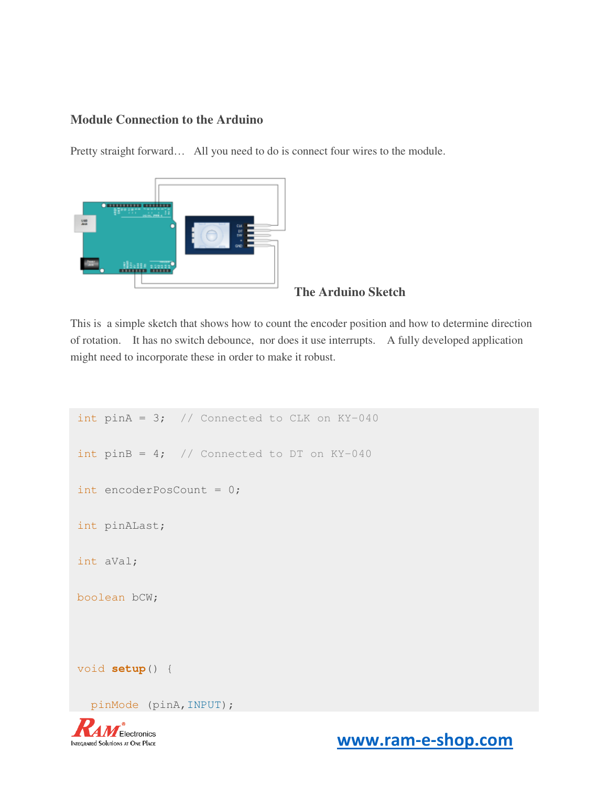#### **Module Connection to the Arduino**

Pretty straight forward… All you need to do is connect four wires to the module.



#### **The Arduino Sketch**

This is a simple sketch that shows how to count the encoder position and how to determine direction of rotation. It has no switch debounce, nor does it use interrupts. A fully developed application might need to incorporate these in order to make it robust.

```
int pinA = 3; // Connected to CLK on KY-040int pinB = 4; // Connected to DT on KY-040
int encoderPosCount = 0; 
int pinALast; 
int aVal; 
boolean bCW; 
void setup() { 
   pinMode (pinA,INPUT);
```


**WWW.ram-e-shop.com**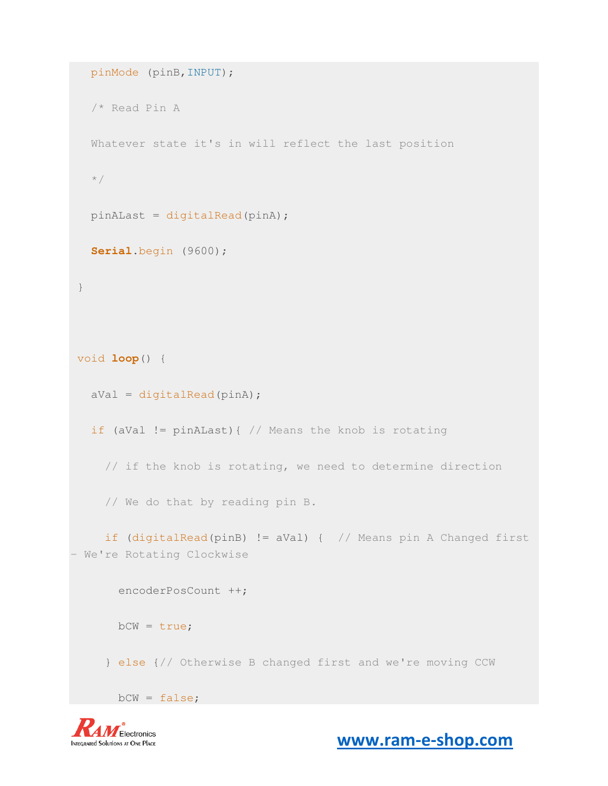```
 pinMode (pinB,INPUT); 
   /* Read Pin A
   Whatever state it's in will reflect the last position 
   */
   pinALast = digitalRead(pinA); 
   Serial.begin (9600);
 } 
void loop() { 
  aVal = digitalRead(pinA); if (aVal != pinALast){ // Means the knob is rotating
     // if the knob is rotating, we need to determine direction
     // We do that by reading pin B.
     if (digitalRead(pinB) != aVal) { // Means pin A Changed first 
- We're Rotating Clockwise
       encoderPosCount ++; 
      bCW = true; } else {// Otherwise B changed first and we're moving CCW
       bCW = false;
```